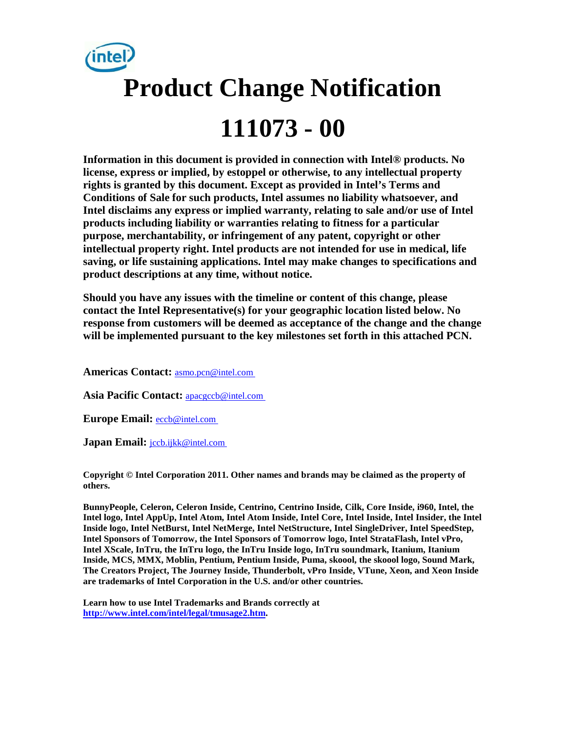

**Information in this document is provided in connection with Intel® products. No license, express or implied, by estoppel or otherwise, to any intellectual property rights is granted by this document. Except as provided in Intel's Terms and Conditions of Sale for such products, Intel assumes no liability whatsoever, and Intel disclaims any express or implied warranty, relating to sale and/or use of Intel products including liability or warranties relating to fitness for a particular purpose, merchantability, or infringement of any patent, copyright or other intellectual property right. Intel products are not intended for use in medical, life saving, or life sustaining applications. Intel may make changes to specifications and product descriptions at any time, without notice.** 

**Should you have any issues with the timeline or content of this change, please contact the Intel Representative(s) for your geographic location listed below. No response from customers will be deemed as acceptance of the change and the change will be implemented pursuant to the key milestones set forth in this attached PCN.** 

**Americas Contact:** [asmo.pcn@intel.com](mailto:asmo.pcn@intel.com) 

**Asia Pacific Contact:** [apacgccb@intel.com](mailto:apacgccb@intel.com) 

**Europe Email:** [eccb@intel.com](mailto:eccb@intel.com) 

Japan Email: **jccb.ijkk@intel.com** 

**Copyright © Intel Corporation 2011. Other names and brands may be claimed as the property of others.**

**BunnyPeople, Celeron, Celeron Inside, Centrino, Centrino Inside, Cilk, Core Inside, i960, Intel, the Intel logo, Intel AppUp, Intel Atom, Intel Atom Inside, Intel Core, Intel Inside, Intel Insider, the Intel Inside logo, Intel NetBurst, Intel NetMerge, Intel NetStructure, Intel SingleDriver, Intel SpeedStep, Intel Sponsors of Tomorrow, the Intel Sponsors of Tomorrow logo, Intel StrataFlash, Intel vPro, Intel XScale, InTru, the InTru logo, the InTru Inside logo, InTru soundmark, Itanium, Itanium Inside, MCS, MMX, Moblin, Pentium, Pentium Inside, Puma, skoool, the skoool logo, Sound Mark, The Creators Project, The Journey Inside, Thunderbolt, vPro Inside, VTune, Xeon, and Xeon Inside are trademarks of Intel Corporation in the U.S. and/or other countries.**

**Learn how to use Intel Trademarks and Brands correctly at [http://www.intel.com/intel/legal/tmusage2.htm.](http://www.intel.com/intel/legal/tmusage2.htm)**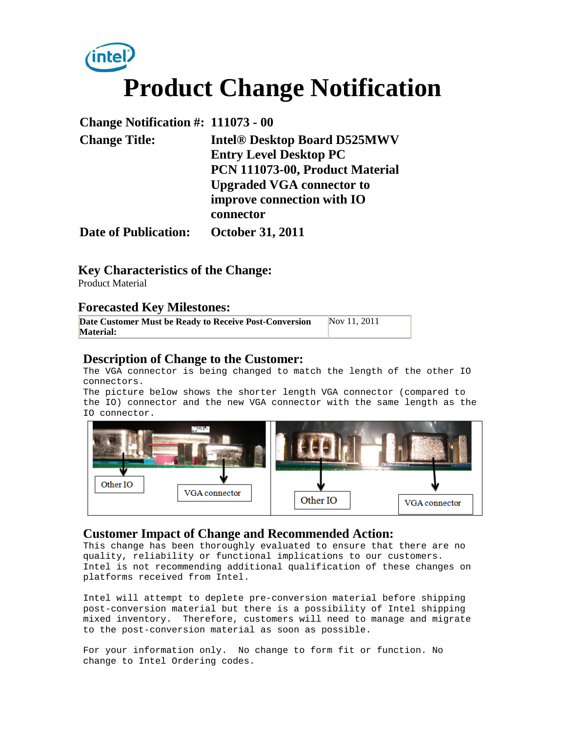

| Change Notification #: 111073 - 00 |                                     |
|------------------------------------|-------------------------------------|
| <b>Change Title:</b>               | <b>Intel® Desktop Board D525MWV</b> |
|                                    | <b>Entry Level Desktop PC</b>       |
|                                    | PCN 111073-00, Product Material     |
|                                    | <b>Upgraded VGA connector to</b>    |
|                                    | improve connection with IO          |
|                                    | connector                           |
| <b>Date of Publication:</b>        | <b>October 31, 2011</b>             |

**Key Characteristics of the Change:**

Product Material

#### **Forecasted Key Milestones:**

| Date Customer Must be Ready to Receive Post-Conversion | Nov 11, 2011 |
|--------------------------------------------------------|--------------|
| <b>Material:</b>                                       |              |
|                                                        |              |

### **Description of Change to the Customer:**

The VGA connector is being changed to match the length of the other IO connectors.

The picture below shows the shorter length VGA connector (compared to the IO) connector and the new VGA connector with the same length as the IO connector.



#### **Customer Impact of Change and Recommended Action:**

This change has been thoroughly evaluated to ensure that there are no quality, reliability or functional implications to our customers. Intel is not recommending additional qualification of these changes on platforms received from Intel.

Intel will attempt to deplete pre-conversion material before shipping post-conversion material but there is a possibility of Intel shipping mixed inventory. Therefore, customers will need to manage and migrate to the post-conversion material as soon as possible.

For your information only. No change to form fit or function. No change to Intel Ordering codes.